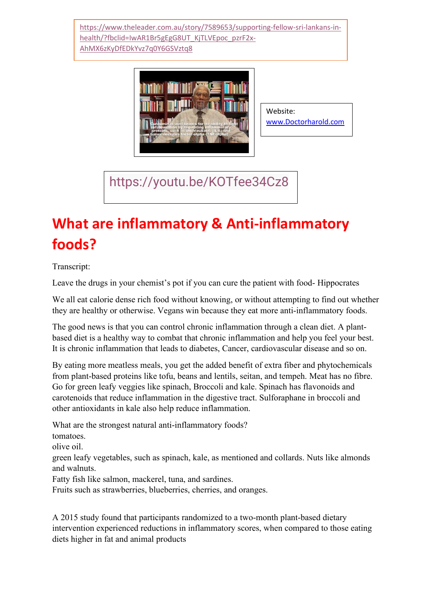[https://www.theleader.com.au/story/7589653/supporting-fellow-sri-lankans-in](https://www.theleader.com.au/story/7589653/supporting-fellow-sri-lankans-in-health/?fbclid=IwAR1Br5gEgG8UT_KjTLVEpoc_pzrF2x-AhMX6zKyDfEDkYvz7q0Y6GSVztq8)[health/?fbclid=IwAR1Br5gEgG8UT\\_KjTLVEpoc\\_pzrF2x-](https://www.theleader.com.au/story/7589653/supporting-fellow-sri-lankans-in-health/?fbclid=IwAR1Br5gEgG8UT_KjTLVEpoc_pzrF2x-AhMX6zKyDfEDkYvz7q0Y6GSVztq8)[AhMX6zKyDfEDkYvz7q0Y6GSVztq8](https://www.theleader.com.au/story/7589653/supporting-fellow-sri-lankans-in-health/?fbclid=IwAR1Br5gEgG8UT_KjTLVEpoc_pzrF2x-AhMX6zKyDfEDkYvz7q0Y6GSVztq8)



Website: [www.Doctorharold.com](http://www.doctorharold.com/)

<https://youtu.be/KOTfee34Cz8>

## **What are inflammatory & Anti-inflammatory foods?**

Transcript:

Leave the drugs in your chemist's pot if you can cure the patient with food- Hippocrates

We all eat calorie dense rich food without knowing, or without attempting to find out whether they are healthy or otherwise. Vegans win because they eat more anti-inflammatory foods.

The good news is that you can control chronic inflammation through a clean diet. A plantbased diet is a healthy way to combat that chronic inflammation and help you feel your best. It is chronic inflammation that leads to diabetes, Cancer, cardiovascular disease and so on.

By eating more meatless meals, you get the added benefit of extra fiber and phytochemicals from plant-based proteins like tofu, beans and lentils, seitan, and tempeh. Meat has no fibre. Go for green leafy veggies like spinach, Broccoli and kale. Spinach has flavonoids and carotenoids that reduce inflammation in the digestive tract. Sulforaphane in broccoli and other antioxidants in kale also help reduce inflammation.

What are the strongest natural anti-inflammatory foods? tomatoes. olive oil. green leafy vegetables, such as spinach, kale, as mentioned and collards. Nuts like almonds and walnuts. Fatty fish like salmon, mackerel, tuna, and sardines. Fruits such as strawberries, blueberries, cherries, and oranges.

A 2015 study found that participants randomized to a two-month plant-based dietary intervention experienced reductions in inflammatory scores, when compared to those eating diets higher in fat and animal products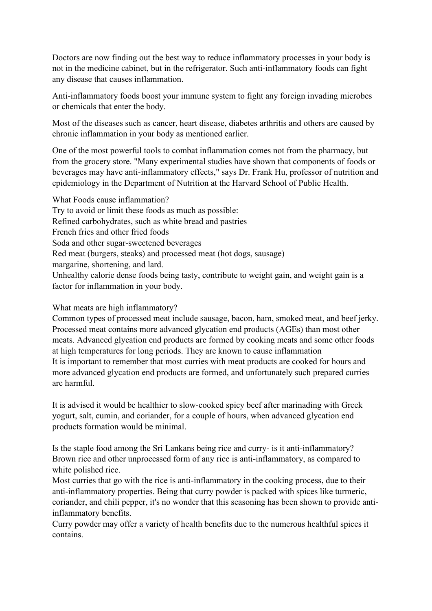Doctors are now finding out the best way to reduce inflammatory processes in your body is not in the medicine cabinet, but in the refrigerator. Such anti-inflammatory foods can fight any disease that causes inflammation.

Anti-inflammatory foods boost your immune system to fight any foreign invading microbes or chemicals that enter the body.

Most of the diseases such as cancer, heart disease, diabetes arthritis and others are caused by chronic inflammation in your body as mentioned earlier.

One of the most powerful tools to combat inflammation comes not from the pharmacy, but from the grocery store. "Many experimental studies have shown that components of foods or beverages may have anti-inflammatory effects," says Dr. Frank Hu, professor of nutrition and epidemiology in the Department of Nutrition at the Harvard School of Public Health.

What Foods cause inflammation? Try to avoid or limit these foods as much as possible: Refined carbohydrates, such as white bread and pastries French fries and other fried foods Soda and other sugar-sweetened beverages Red meat (burgers, steaks) and processed meat (hot dogs, sausage) margarine, shortening, and lard. Unhealthy calorie dense foods being tasty, contribute to weight gain, and weight gain is a factor for inflammation in your body.

## What meats are high inflammatory?

Common types of processed meat include sausage, bacon, ham, smoked meat, and beef jerky. Processed meat contains more advanced glycation end products (AGEs) than most other meats. Advanced glycation end products are formed by cooking meats and some other foods at high temperatures for long periods. They are known to cause inflammation It is important to remember that most curries with meat products are cooked for hours and more advanced glycation end products are formed, and unfortunately such prepared curries are harmful.

It is advised it would be healthier to slow-cooked spicy beef after marinading with Greek yogurt, salt, cumin, and coriander, for a couple of hours, when advanced glycation end products formation would be minimal.

Is the staple food among the Sri Lankans being rice and curry- is it anti-inflammatory? Brown rice and other unprocessed form of any rice is anti-inflammatory, as compared to white polished rice.

Most curries that go with the rice is anti-inflammatory in the cooking process, due to their anti-inflammatory properties. Being that curry powder is packed with spices like turmeric, coriander, and chili pepper, it's no wonder that this seasoning has been shown to provide antiinflammatory benefits.

Curry powder may offer a variety of health benefits due to the numerous healthful spices it contains.